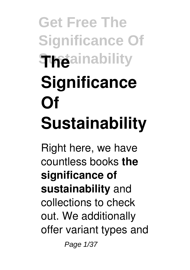## **Get Free The Significance Of Sustainability The Significance Of Sustainability**

Right here, we have countless books **the significance of sustainability** and collections to check out. We additionally offer variant types and Page 1/37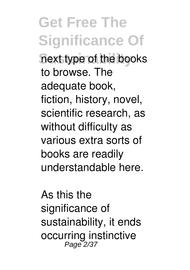**Get Free The Significance Of Sustainability** next type of the books to browse. The adequate book, fiction, history, novel, scientific research, as without difficulty as various extra sorts of books are readily understandable here.

As this the significance of sustainability, it ends occurring instinctive Page 2/37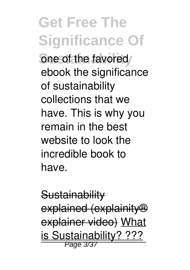**Get Free The Significance Of Sone of the favored** ebook the significance of sustainability collections that we have. This is why you remain in the best website to look the incredible book to have.

**Sustainability** explained (explainity® explainer video) What is Sustainability? ???<br>Page 3/37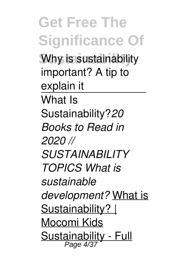**Get Free The Significance Of Sustainability** Why is sustainability important? A tip to explain it What Is Sustainability?*20 Books to Read in 2020 // SUSTAINABILITY TOPICS What is sustainable development?* What is Sustainability? | Mocomi Kids Sustainability - Full Page 4/37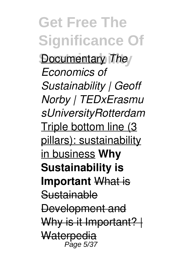**Get Free The Significance Of Documentary** *The Economics of Sustainability | Geoff Norby | TEDxErasmu sUniversityRotterdam* Triple bottom line (3 pillars): sustainability in business **Why Sustainability is Important** What is **Sustainable** Development and Why is it Important? | **Waterpedia** Page 5/37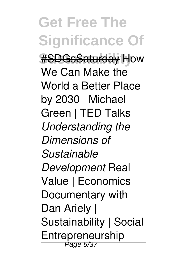**Get Free The Significance Of #SDGsSaturday How** We Can Make the World a Better Place by 2030 | Michael Green | TED Talks *Understanding the Dimensions of Sustainable Development* Real Value | Economics Documentary with Dan Ariely | Sustainability | Social Entrepreneurship Page 6/37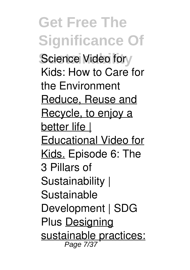**Get Free The Significance Of** Science Video for Kids: How to Care for the Environment Reduce, Reuse and Recycle, to enjoy a better life | Educational Video for Kids. Episode 6: The 3 Pillars of Sustainability | Sustainable Development | SDG Plus Designing sustainable practices: Page 7/37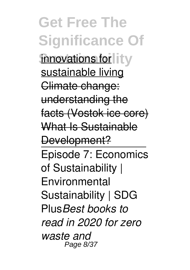**Get Free The Significance Of innovations for** it v sustainable living Climate change: understanding the facts (Vostok ice core) What Is Sustainable Development? Episode 7: Economics of Sustainability | Environmental Sustainability | SDG Plus*Best books to read in 2020 for zero waste and* Page 8/37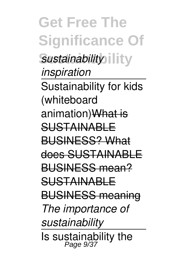**Get Free The Significance Of Sustainability** *sustainability inspiration* Sustainability for kids (whiteboard animation) What is SUSTAINABLE BUSINESS? What does SUSTAINABLE BUSINESS mean? SUSTAINABLE BUSINESS meaning *The importance of sustainability* Is sustainability the Page 9/37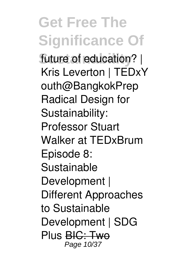**Get Free The Significance Of** future of education? | Kris Leverton | TEDxY outh@BangkokPrep Radical Design for Sustainability: Professor Stuart Walker at TEDxBrum Episode 8: Sustainable Development | Different Approaches to Sustainable Development | SDG Plus BIC: Two Page 10/37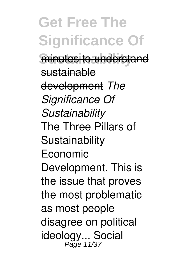**Get Free The Significance Of** minutes to understand sustainable development *The Significance Of Sustainability* The Three Pillars of Sustainability Economic Development. This is the issue that proves the most problematic as most people disagree on political ideology... Social Page 11/37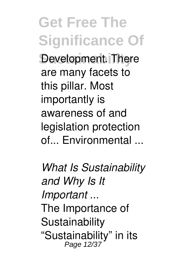**Get Free The Significance Of Development. There** are many facets to this pillar. Most importantly is awareness of and legislation protection of... Environmental ...

*What Is Sustainability and Why Is It Important ...* The Importance of **Sustainability** "Sustainability" in its Page 12/37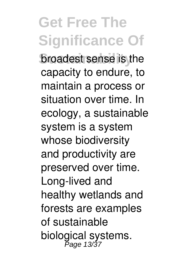**Get Free The Significance Of broadest sense is the** capacity to endure, to maintain a process or situation over time. In ecology, a sustainable system is a system whose biodiversity and productivity are preserved over time. Long-lived and healthy wetlands and forests are examples of sustainable biological systems.<br>Page 13/37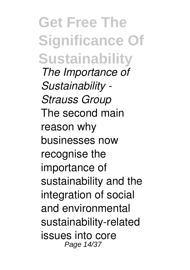**Get Free The Significance Of Sustainability** *The Importance of Sustainability - Strauss Group* The second main reason why businesses now recognise the importance of sustainability and the integration of social and environmental sustainability-related issues into core Page 14/37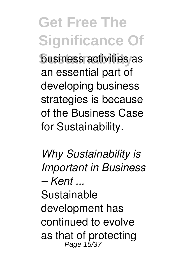**Get Free The Significance Of business activities as** an essential part of developing business strategies is because of the Business Case for Sustainability.

*Why Sustainability is Important in Business – Kent ...*

Sustainable development has continued to evolve as that of protecting<br>Page 15/37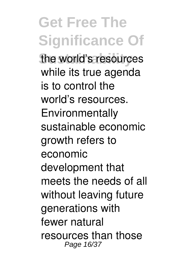**Get Free The Significance Of Sustainability** the world's resources while its true agenda is to control the world's resources. Environmentally sustainable economic growth refers to economic development that meets the needs of all without leaving future generations with fewer natural resources than those Page 16/37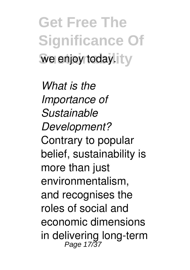**Get Free The Significance Of** we enjoy today. **LV** 

*What is the Importance of Sustainable Development?* Contrary to popular belief, sustainability is more than just environmentalism, and recognises the roles of social and economic dimensions in delivering long-term<br>Page 17/37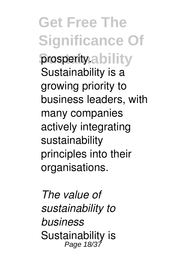**Get Free The Significance Of prosperity.ability** Sustainability is a growing priority to business leaders, with many companies actively integrating sustainability principles into their organisations.

*The value of sustainability to business* Sustainability is<br>Page 18/37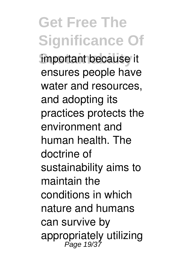**Get Free The Significance Of important because it** ensures people have water and resources, and adopting its practices protects the environment and human health. The doctrine of sustainability aims to maintain the conditions in which nature and humans can survive by appropriately utilizing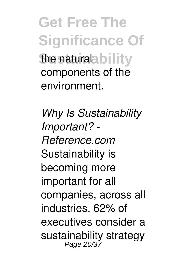**Get Free The Significance Of She natural bility** components of the environment.

*Why Is Sustainability Important? - Reference.com* Sustainability is becoming more important for all companies, across all industries. 62% of executives consider a sustainability strategy Page 20/37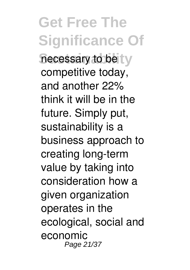**Get Free The Significance Of** necessary to be tw competitive today, and another 22% think it will be in the future. Simply put, sustainability is a business approach to creating long-term value by taking into consideration how a given organization operates in the ecological, social and economic Page 21/37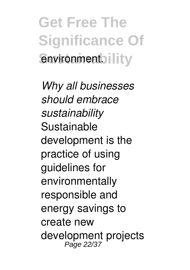**Get Free The Significance Of Sustainability** 

*Why all businesses should embrace sustainability* Sustainable development is the practice of using guidelines for environmentally responsible and energy savings to create new development projects Page 22/37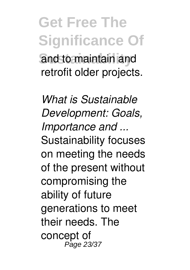**Get Free The Significance Of Sustainability** and to maintain and retrofit older projects.

*What is Sustainable Development: Goals, Importance and ...* Sustainability focuses on meeting the needs of the present without compromising the ability of future generations to meet their needs. The concept of Page 23/37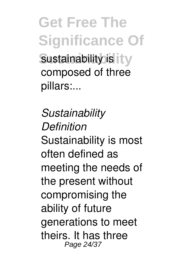**Get Free The Significance Of Sustainability** is it **y** composed of three pillars:...

*Sustainability Definition* Sustainability is most often defined as meeting the needs of the present without compromising the ability of future generations to meet theirs. It has three Page 24/37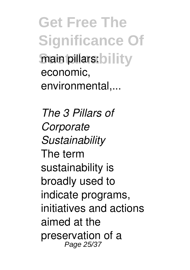**Get Free The Significance Of Sustainability** main pillars: bility economic, environmental,...

*The 3 Pillars of Corporate Sustainability* The term sustainability is broadly used to indicate programs, initiatives and actions aimed at the preservation of a Page 25/37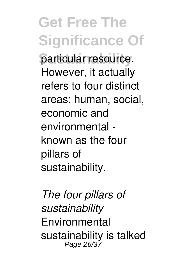**Get Free The Significance Of** particular resource. However, it actually refers to four distinct areas: human, social, economic and environmental known as the four pillars of sustainability.

*The four pillars of sustainability* **Environmental** sustainability is talked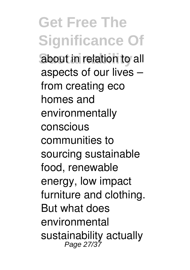**Get Free The Significance Of** about in relation to all aspects of our lives – from creating eco homes and environmentally conscious communities to sourcing sustainable food, renewable energy, low impact furniture and clothing. But what does environmental sustainability actually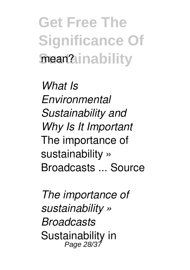**Get Free The Significance Of Sustainability** mean?

*What Is Environmental Sustainability and Why Is It Important* The importance of sustainability » Broadcasts ... Source

*The importance of sustainability » Broadcasts* Sustainability in Page 28/37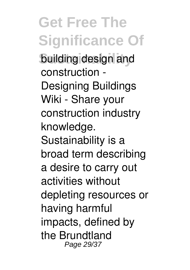**Get Free The Significance Of Building design and** construction - Designing Buildings Wiki - Share your construction industry knowledge. Sustainability is a broad term describing a desire to carry out activities without depleting resources or having harmful impacts, defined by the Brundtland Page 29/37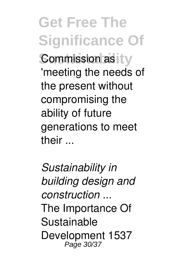**Get Free The Significance Of Commission as LV** 'meeting the needs of the present without compromising the ability of future generations to meet their ...

*Sustainability in building design and construction ...* The Importance Of Sustainable Development 1537 Page 30/37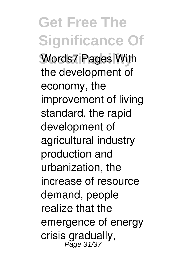**Get Free The Significance Of Words7 Pages With** the development of economy, the improvement of living standard, the rapid development of agricultural industry production and urbanization, the increase of resource demand, people realize that the emergence of energy crisis gradually,<br>Page 31/37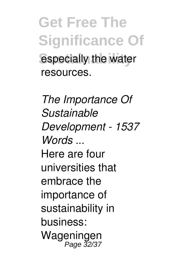**Get Free The Significance Of** especially the water resources.

*The Importance Of Sustainable Development - 1537 Words ...* Here are four universities that embrace the importance of sustainability in business: Wageningen Page 32/37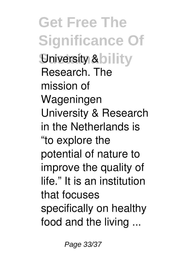**Get Free The Significance Of Sustainability** Research. The mission of Wageningen University & Research in the Netherlands is "to explore the potential of nature to improve the quality of life." It is an institution that focuses specifically on healthy food and the living ...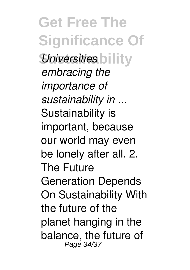**Get Free The Significance Of** *<u>Universities</u>* **bility** *embracing the importance of sustainability in ...* Sustainability is important, because our world may even be lonely after all. 2. The Future Generation Depends On Sustainability With the future of the planet hanging in the balance, the future of Page 34/37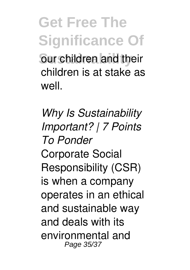**Get Free The Significance Of Sur children and their** children is at stake as well.

*Why Is Sustainability Important? | 7 Points To Ponder* Corporate Social Responsibility (CSR) is when a company operates in an ethical and sustainable way and deals with its environmental and Page 35/37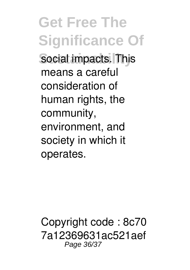**Get Free The Significance Of** social impacts. This means a careful consideration of human rights, the community, environment, and society in which it operates.

Copyright code : 8c70 7a12369631ac521aef Page 36/37